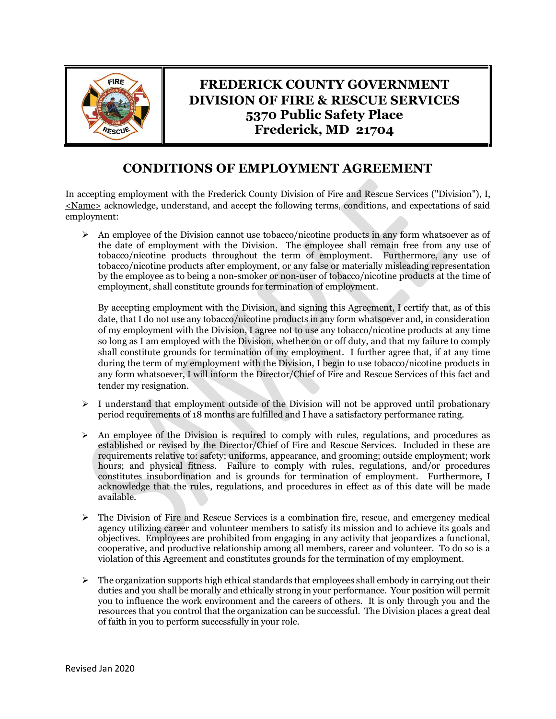

## **FREDERICK COUNTY GOVERNMENT DIVISION OF FIRE & RESCUE SERVICES 5370 Public Safety Place Frederick, MD 21704**

## **CONDITIONS OF EMPLOYMENT AGREEMENT**

In accepting employment with the Frederick County Division of Fire and Rescue Services ("Division"), I, <Name> acknowledge, understand, and accept the following terms, conditions, and expectations of said employment:

 $\triangleright$  An employee of the Division cannot use tobacco/nicotine products in any form whatsoever as of the date of employment with the Division. The employee shall remain free from any use of tobacco/nicotine products throughout the term of employment. Furthermore, any use of tobacco/nicotine products after employment, or any false or materially misleading representation by the employee as to being a non-smoker or non-user of tobacco/nicotine products at the time of employment, shall constitute grounds for termination of employment.

By accepting employment with the Division, and signing this Agreement, I certify that, as of this date, that I do not use any tobacco/nicotine products in any form whatsoever and, in consideration of my employment with the Division, I agree not to use any tobacco/nicotine products at any time so long as I am employed with the Division, whether on or off duty, and that my failure to comply shall constitute grounds for termination of my employment. I further agree that, if at any time during the term of my employment with the Division, I begin to use tobacco/nicotine products in any form whatsoever, I will inform the Director/Chief of Fire and Rescue Services of this fact and tender my resignation.

- $\triangleright$  I understand that employment outside of the Division will not be approved until probationary period requirements of 18 months are fulfilled and I have a satisfactory performance rating.
- $\triangleright$  An employee of the Division is required to comply with rules, regulations, and procedures as established or revised by the Director/Chief of Fire and Rescue Services. Included in these are requirements relative to: safety; uniforms, appearance, and grooming; outside employment; work hours; and physical fitness. Failure to comply with rules, regulations, and/or procedures constitutes insubordination and is grounds for termination of employment. Furthermore, I acknowledge that the rules, regulations, and procedures in effect as of this date will be made available.
- $\triangleright$  The Division of Fire and Rescue Services is a combination fire, rescue, and emergency medical agency utilizing career and volunteer members to satisfy its mission and to achieve its goals and objectives. Employees are prohibited from engaging in any activity that jeopardizes a functional, cooperative, and productive relationship among all members, career and volunteer. To do so is a violation of this Agreement and constitutes grounds for the termination of my employment.
- $\triangleright$  The organization supports high ethical standards that employees shall embody in carrying out their duties and you shall be morally and ethically strong in your performance. Your position will permit you to influence the work environment and the careers of others. It is only through you and the resources that you control that the organization can be successful. The Division places a great deal of faith in you to perform successfully in your role.